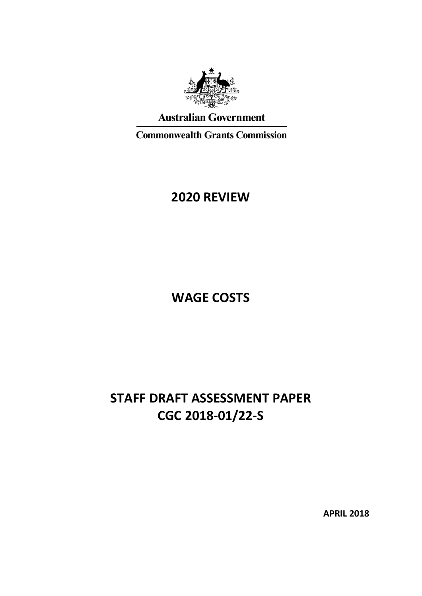

# **Australian Government**

**Commonwealth Grants Commission** 

# **2020 REVIEW**

**WAGE COSTS**

# **STAFF DRAFT ASSESSMENT PAPER CGC 2018-01/22-S**

**APRIL 2018**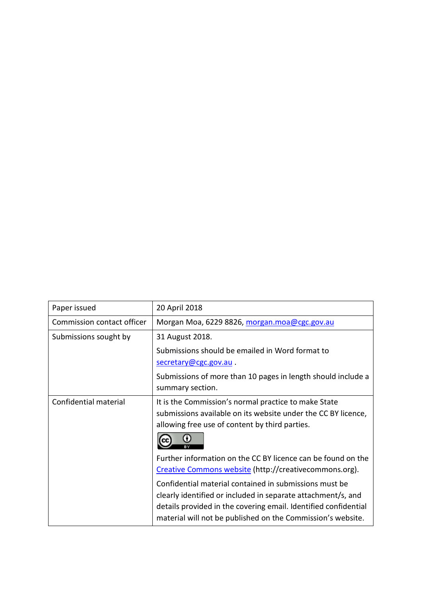| Paper issued               | 20 April 2018                                                                                                                                                                                                                                            |
|----------------------------|----------------------------------------------------------------------------------------------------------------------------------------------------------------------------------------------------------------------------------------------------------|
| Commission contact officer | Morgan Moa, 6229 8826, morgan.moa@cgc.gov.au                                                                                                                                                                                                             |
| Submissions sought by      | 31 August 2018.                                                                                                                                                                                                                                          |
|                            | Submissions should be emailed in Word format to                                                                                                                                                                                                          |
|                            | secretary@cgc.gov.au.                                                                                                                                                                                                                                    |
|                            | Submissions of more than 10 pages in length should include a<br>summary section.                                                                                                                                                                         |
| Confidential material      | It is the Commission's normal practice to make State<br>submissions available on its website under the CC BY licence,<br>allowing free use of content by third parties.                                                                                  |
|                            | Further information on the CC BY licence can be found on the<br>Creative Commons website (http://creativecommons.org).                                                                                                                                   |
|                            | Confidential material contained in submissions must be<br>clearly identified or included in separate attachment/s, and<br>details provided in the covering email. Identified confidential<br>material will not be published on the Commission's website. |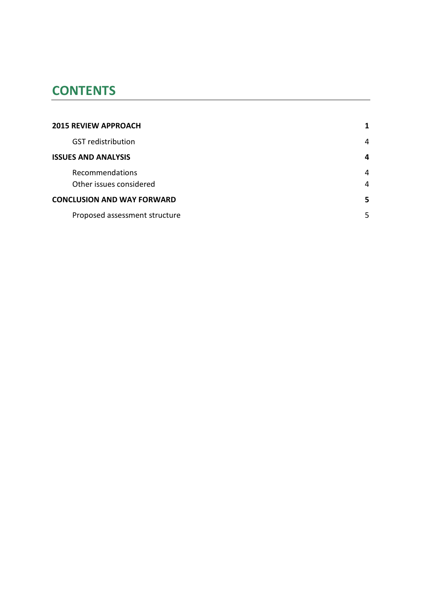# **CONTENTS**

| <b>2015 REVIEW APPROACH</b>       |   |
|-----------------------------------|---|
| <b>GST</b> redistribution         | 4 |
| <b>ISSUES AND ANALYSIS</b>        | 4 |
| Recommendations                   | 4 |
| Other issues considered           | 4 |
| <b>CONCLUSION AND WAY FORWARD</b> | 5 |
| Proposed assessment structure     | 5 |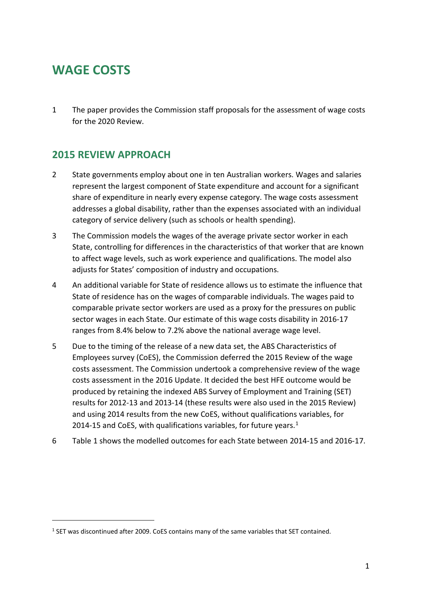# **WAGE COSTS**

 $\overline{a}$ 

1 The paper provides the Commission staff proposals for the assessment of wage costs for the 2020 Review.

## <span id="page-3-0"></span>**2015 REVIEW APPROACH**

- 2 State governments employ about one in ten Australian workers. Wages and salaries represent the largest component of State expenditure and account for a significant share of expenditure in nearly every expense category. The wage costs assessment addresses a global disability, rather than the expenses associated with an individual category of service delivery (such as schools or health spending).
- 3 The Commission models the wages of the average private sector worker in each State, controlling for differences in the characteristics of that worker that are known to affect wage levels, such as work experience and qualifications. The model also adjusts for States' composition of industry and occupations.
- 4 An additional variable for State of residence allows us to estimate the influence that State of residence has on the wages of comparable individuals. The wages paid to comparable private sector workers are used as a proxy for the pressures on public sector wages in each State. Our estimate of this wage costs disability in 2016-17 ranges from 8.4% below to 7.2% above the national average wage level.
- 5 Due to the timing of the release of a new data set, the ABS Characteristics of Employees survey (CoES), the Commission deferred the 2015 Review of the wage costs assessment. The Commission undertook a comprehensive review of the wage costs assessment in the 2016 Update. It decided the best HFE outcome would be produced by retaining the indexed ABS Survey of Employment and Training (SET) results for 2012-13 and 2013-14 (these results were also used in the 2015 Review) and using 2014 results from the new CoES, without qualifications variables, for 20[1](#page-3-1)4-15 and CoES, with qualifications variables, for future years.<sup>1</sup>
- 6 [Table 1](#page-4-0) shows the modelled outcomes for each State between 2014-15 and 2016-17.

<span id="page-3-1"></span> $1$  SET was discontinued after 2009. CoES contains many of the same variables that SET contained.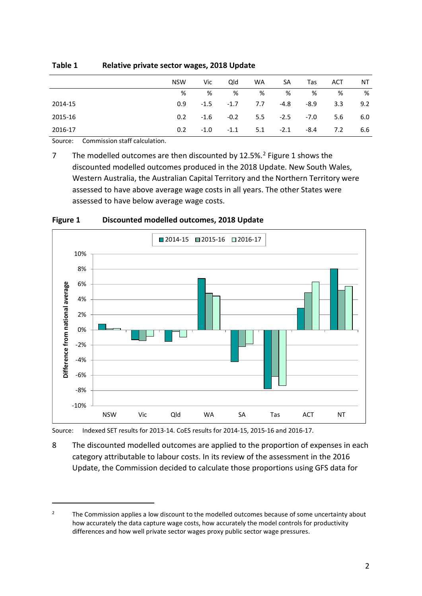|         | <b>NSW</b>    | Vic.   | Qld    | <b>WA</b> | SA     | Tas  | ACT | NT  |
|---------|---------------|--------|--------|-----------|--------|------|-----|-----|
|         | %             | %      | %      | %         | %      | %    | %   | %   |
| 2014-15 | 0.9           | $-1.5$ | $-1.7$ | 7.7       | -4.8   | -8.9 | 3.3 | 9.2 |
| 2015-16 | $0.2^{\circ}$ | -1.6   | $-0.2$ | 5.5       | $-2.5$ | -7.0 | 5.6 | 6.0 |
| 2016-17 | 0.2           | $-1.0$ | $-1.1$ | 5.1       | $-2.1$ | -8.4 | 7.2 | 6.6 |

#### <span id="page-4-0"></span>**Table 1 Relative private sector wages, 2018 Update**

Source: Commission staff calculation.

 $\overline{a}$ 

7 The modelled outcomes are then discounted by 1[2](#page-4-2).5%.<sup>2</sup> [Figure 1](#page-4-1) shows the discounted modelled outcomes produced in the 2018 Update. New South Wales, Western Australia, the Australian Capital Territory and the Northern Territory were assessed to have above average wage costs in all years. The other States were assessed to have below average wage costs.



<span id="page-4-1"></span>**Figure 1 Discounted modelled outcomes, 2018 Update**

Source: Indexed SET results for 2013-14. CoES results for 2014-15, 2015-16 and 2016-17.

8 The discounted modelled outcomes are applied to the proportion of expenses in each category attributable to labour costs. In its review of the assessment in the 2016 Update, the Commission decided to calculate those proportions using GFS data for

<span id="page-4-2"></span><sup>&</sup>lt;sup>2</sup> The Commission applies a low discount to the modelled outcomes because of some uncertainty about how accurately the data capture wage costs, how accurately the model controls for productivity differences and how well private sector wages proxy public sector wage pressures.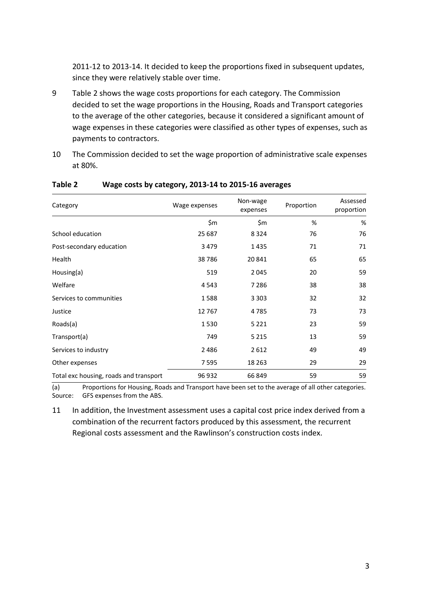2011-12 to 2013-14. It decided to keep the proportions fixed in subsequent updates, since they were relatively stable over time.

- 9 [Table](#page-5-0) 2 shows the wage costs proportions for each category. The Commission decided to set the wage proportions in the Housing, Roads and Transport categories to the average of the other categories, because it considered a significant amount of wage expenses in these categories were classified as other types of expenses, such as payments to contractors.
- 10 The Commission decided to set the wage proportion of administrative scale expenses at 80%.

| Category                               | Wage expenses | Non-wage<br>expenses | Proportion | Assessed<br>proportion |  |
|----------------------------------------|---------------|----------------------|------------|------------------------|--|
|                                        | \$m           | \$m                  | %          | %                      |  |
| School education                       | 25 687        | 8324                 | 76         | 76                     |  |
| Post-secondary education               | 3479          | 1435                 | 71         | 71                     |  |
| Health                                 | 38786         | 20841                | 65         | 65                     |  |
| Housing(a)                             | 519           | 2045                 | 20         | 59                     |  |
| Welfare                                | 4543          | 7 2 8 6              | 38         | 38                     |  |
| Services to communities                | 1588          | 3 3 0 3              | 32         | 32                     |  |
| Justice                                | 12767         | 4785                 | 73         | 73                     |  |
| Roads(a)                               | 1530          | 5 2 2 1              | 23         | 59                     |  |
| Transport(a)                           | 749           | 5 2 1 5              | 13         | 59                     |  |
| Services to industry                   | 2486          | 2612                 | 49         | 49                     |  |
| Other expenses                         | 7595          | 18 2 63              | 29         | 29                     |  |
| Total exc housing, roads and transport | 96 932        | 66849                | 59         | 59                     |  |

#### <span id="page-5-0"></span>**Table 2 Wage costs by category, 2013-14 to 2015-16 averages**

(a) Proportions for Housing, Roads and Transport have been set to the average of all other categories. Source: GFS expenses from the ABS.

11 In addition, the Investment assessment uses a capital cost price index derived from a combination of the recurrent factors produced by this assessment, the recurrent Regional costs assessment and the Rawlinson's construction costs index.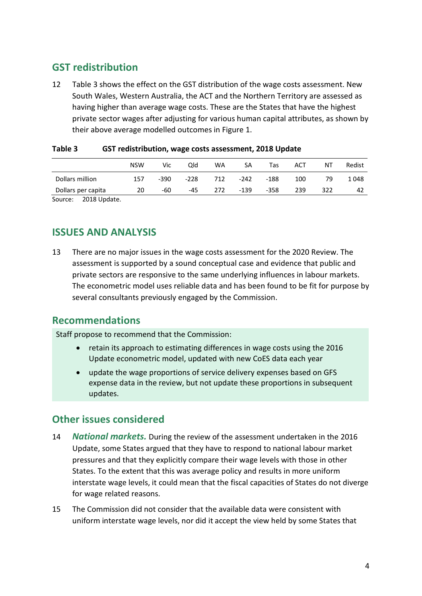## <span id="page-6-0"></span>**GST redistribution**

12 [Table 3](#page-6-4) shows the effect on the GST distribution of the wage costs assessment. New South Wales, Western Australia, the ACT and the Northern Territory are assessed as having higher than average wage costs. These are the States that have the highest private sector wages after adjusting for various human capital attributes, as shown by their above average modelled outcomes in [Figure 1.](#page-4-1)

|                    | <b>NSW</b> | Vic    | Qld    | WA  | SА     | Tas    | ACT | ΝT  | Redist |
|--------------------|------------|--------|--------|-----|--------|--------|-----|-----|--------|
| Dollars million    | 157        | $-390$ | $-228$ | 712 | $-242$ | -188   | 100 | 79  | 1048   |
| Dollars per capita | 20         | -60    | $-45$  | 272 | -139   | $-358$ | 239 | 322 | 42     |
| _ _ _ _ . _ _      |            |        |        |     |        |        |     |     |        |

#### <span id="page-6-4"></span>**Table 3 GST redistribution, wage costs assessment, 2018 Update**

<span id="page-6-1"></span>Source: 2018 Update.

## **ISSUES AND ANALYSIS**

13 There are no major issues in the wage costs assessment for the 2020 Review. The assessment is supported by a sound conceptual case and evidence that public and private sectors are responsive to the same underlying influences in labour markets. The econometric model uses reliable data and has been found to be fit for purpose by several consultants previously engaged by the Commission.

### <span id="page-6-2"></span>**Recommendations**

Staff propose to recommend that the Commission:

- retain its approach to estimating differences in wage costs using the 2016 Update econometric model, updated with new CoES data each year
- update the wage proportions of service delivery expenses based on GFS expense data in the review, but not update these proportions in subsequent updates.

## <span id="page-6-3"></span>**Other issues considered**

- 14 *National markets.* During the review of the assessment undertaken in the 2016 Update, some States argued that they have to respond to national labour market pressures and that they explicitly compare their wage levels with those in other States. To the extent that this was average policy and results in more uniform interstate wage levels, it could mean that the fiscal capacities of States do not diverge for wage related reasons.
- 15 The Commission did not consider that the available data were consistent with uniform interstate wage levels, nor did it accept the view held by some States that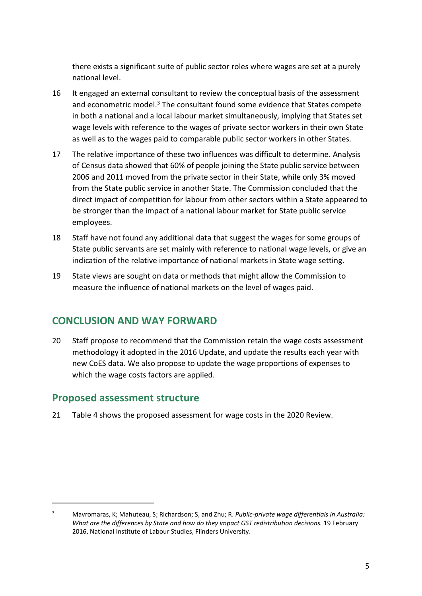there exists a significant suite of public sector roles where wages are set at a purely national level.

- 16 It engaged an external consultant to review the conceptual basis of the assessment and econometric model.<sup>[3](#page-7-2)</sup> The consultant found some evidence that States compete in both a national and a local labour market simultaneously, implying that States set wage levels with reference to the wages of private sector workers in their own State as well as to the wages paid to comparable public sector workers in other States.
- 17 The relative importance of these two influences was difficult to determine. Analysis of Census data showed that 60% of people joining the State public service between 2006 and 2011 moved from the private sector in their State, while only 3% moved from the State public service in another State. The Commission concluded that the direct impact of competition for labour from other sectors within a State appeared to be stronger than the impact of a national labour market for State public service employees.
- 18 Staff have not found any additional data that suggest the wages for some groups of State public servants are set mainly with reference to national wage levels, or give an indication of the relative importance of national markets in State wage setting.
- 19 State views are sought on data or methods that might allow the Commission to measure the influence of national markets on the level of wages paid.

## <span id="page-7-0"></span>**CONCLUSION AND WAY FORWARD**

20 Staff propose to recommend that the Commission retain the wage costs assessment methodology it adopted in the 2016 Update, and update the results each year with new CoES data. We also propose to update the wage proportions of expenses to which the wage costs factors are applied.

## <span id="page-7-1"></span>**Proposed assessment structure**

 $\overline{a}$ 

21 [Table 4](#page-8-0) shows the proposed assessment for wage costs in the 2020 Review.

<span id="page-7-2"></span><sup>3</sup> Mavromaras, K; Mahuteau, S; Richardson; S, and Zhu; R. *Public-private wage differentials in Australia: What are the differences by State and how do they impact GST redistribution decisions.* 19 February 2016, National Institute of Labour Studies, Flinders University.